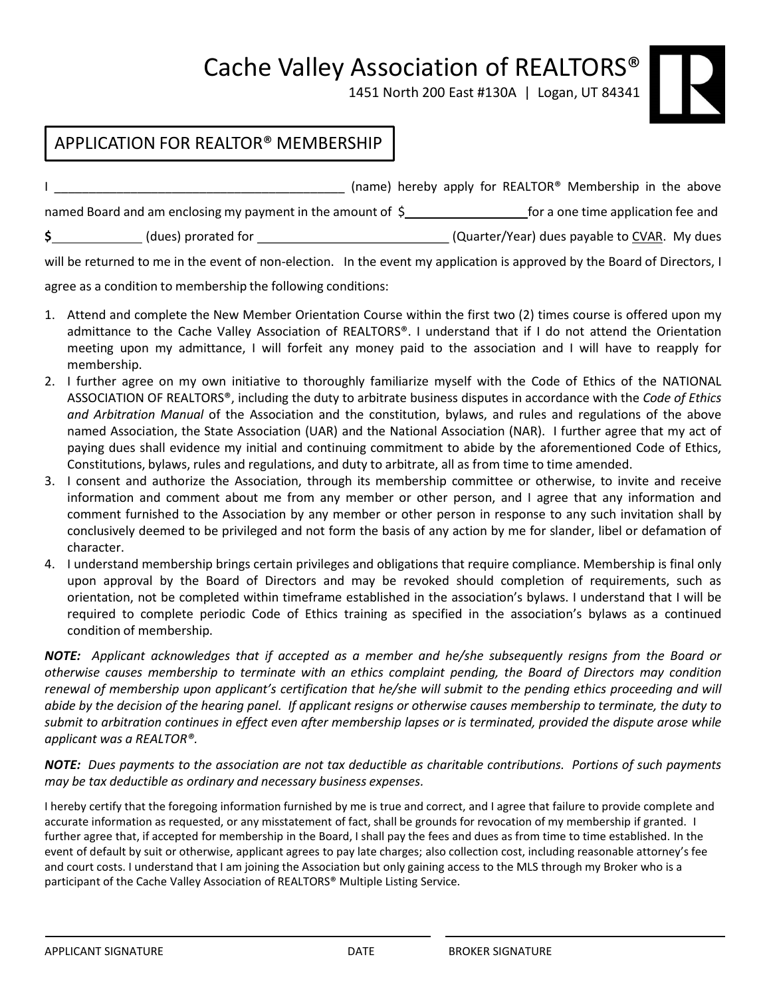Cache Valley Association of REALTORS®

1451 North 200 East #130A | Logan, UT 84341

## APPLICATION FOR REALTOR® MEMBERSHIP

I \_\_\_\_\_\_\_\_\_\_\_\_\_\_\_\_\_\_\_\_\_\_\_\_\_\_\_\_\_\_\_\_\_\_\_\_\_\_\_\_\_\_ (name) hereby apply for REALTOR® Membership in the above named Board and am enclosing my payment in the amount of \$<br>**For a set of a set one time application fee and \$** (dues) prorated for (Quarter/Year) dues payable to CVAR. My dues

will be returned to me in the event of non-election. In the event my application is approved by the Board of Directors, I

agree as a condition to membership the following conditions:

- 1. Attend and complete the New Member Orientation Course within the first two (2) times course is offered upon my admittance to the Cache Valley Association of REALTORS®. I understand that if I do not attend the Orientation meeting upon my admittance, I will forfeit any money paid to the association and I will have to reapply for membership.
- 2. I further agree on my own initiative to thoroughly familiarize myself with the Code of Ethics of the NATIONAL ASSOCIATION OF REALTORS®, including the duty to arbitrate business disputes in accordance with the *Code of Ethics and Arbitration Manual* of the Association and the constitution, bylaws, and rules and regulations of the above named Association, the State Association (UAR) and the National Association (NAR). I further agree that my act of paying dues shall evidence my initial and continuing commitment to abide by the aforementioned Code of Ethics, Constitutions, bylaws, rules and regulations, and duty to arbitrate, all as from time to time amended.
- 3. I consent and authorize the Association, through its membership committee or otherwise, to invite and receive information and comment about me from any member or other person, and I agree that any information and comment furnished to the Association by any member or other person in response to any such invitation shall by conclusively deemed to be privileged and not form the basis of any action by me for slander, libel or defamation of character.
- 4. I understand membership brings certain privileges and obligations that require compliance. Membership is final only upon approval by the Board of Directors and may be revoked should completion of requirements, such as orientation, not be completed within timeframe established in the association's bylaws. I understand that I will be required to complete periodic Code of Ethics training as specified in the association's bylaws as a continued condition of membership.

NOTE: Applicant acknowledges that if accepted as a member and he/she subsequently resigns from the Board or *otherwise causes membership to terminate with an ethics complaint pending, the Board of Directors may condition* renewal of membership upon applicant's certification that he/she will submit to the pending ethics proceeding and will abide by the decision of the hearing panel. If applicant resigns or otherwise causes membership to terminate, the duty to submit to arbitration continues in effect even after membership lapses or is terminated, provided the dispute arose while *applicant was a REALTOR®.*

NOTE: Dues payments to the association are not tax deductible as charitable contributions. Portions of such payments *may be tax deductible as ordinary and necessary business expenses.*

I hereby certify that the foregoing information furnished by me is true and correct, and I agree that failure to provide complete and accurate information as requested, or any misstatement of fact, shall be grounds for revocation of my membership if granted. I further agree that, if accepted for membership in the Board, I shall pay the fees and dues as from time to time established. In the event of default by suit or otherwise, applicant agrees to pay late charges; also collection cost, including reasonable attorney's fee and court costs. I understand that I am joining the Association but only gaining access to the MLS through my Broker who is a participant of the Cache Valley Association of REALTORS® Multiple Listing Service.